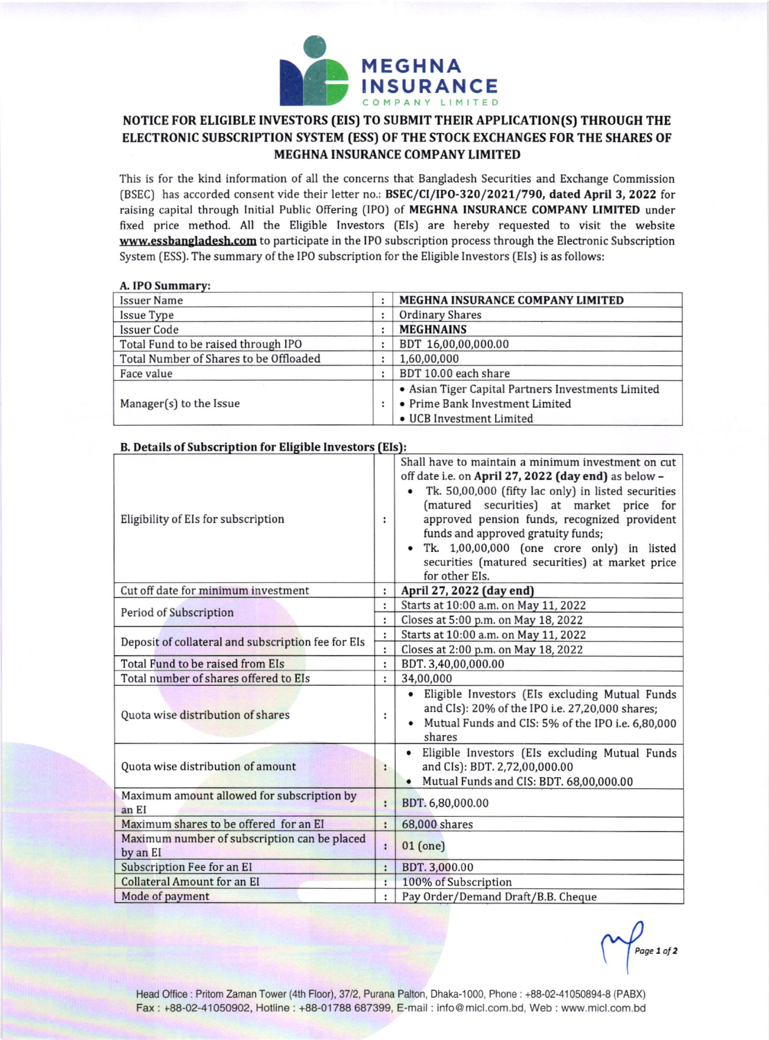

## NOTICE FOR ELIGIBLE INVESTORS (EIS) TO SUBMIT THEIR APPLICATION(S) THROUGH THE ELECTRONIC SUBSCRIPTION SYSTEM (ESS) OF THE STOCK EXCHANGES FOR THE SHARES OF MEGHNA INSURANCE COMPANY LIMITED

This is for the kind information of all the concerns that Bangladesh Securities and Exchange Commission (BSEC) has accorded consent vide their letter no.: BSEC/CI/IPO-320/2021/790, dated April 3, 2022 for raising capital through Initial Public Offering (IPO) of MEGHNA INSURANCE COMPANY LIMITED under fixed price method. All the Eligible Investors (EIs) are hereby requested to visit the website www.essbangladesh.com to participate in the IPO subscription process through the Electronic Subscription System (ESS). The summary of the IPO subscription for the Eligible Investors (EIs) is as follows:

## A. IPO Summary:

| <b>Issuer Name</b>                     | MEGHNA INSURANCE COMPANY LIMITED                   |
|----------------------------------------|----------------------------------------------------|
| Issue Type                             | <b>Ordinary Shares</b>                             |
| <b>Issuer Code</b>                     | <b>MEGHNAINS</b>                                   |
| Total Fund to be raised through IPO    | BDT 16,00,00,000.00                                |
| Total Number of Shares to be Offloaded | 1,60,00,000                                        |
| Face value                             | BDT 10.00 each share                               |
|                                        | • Asian Tiger Capital Partners Investments Limited |
| Manager(s) to the Issue                | • Prime Bank Investment Limited                    |
|                                        | • UCB Investment Limited                           |

| Eligibility of EIs for subscription                      | ÷                    | Shall have to maintain a minimum investment on cut<br>off date i.e. on April 27, 2022 (day end) as below -<br>Tk. 50,00,000 (fifty lac only) in listed securities<br>(matured securities) at market price for<br>approved pension funds, recognized provident<br>funds and approved gratuity funds;<br>Tk. 1,00,00,000 (one crore only) in listed<br>securities (matured securities) at market price<br>for other EIs. |
|----------------------------------------------------------|----------------------|------------------------------------------------------------------------------------------------------------------------------------------------------------------------------------------------------------------------------------------------------------------------------------------------------------------------------------------------------------------------------------------------------------------------|
| Cut off date for minimum investment                      | $\ddot{\phantom{a}}$ | April 27, 2022 (day end)                                                                                                                                                                                                                                                                                                                                                                                               |
| Period of Subscription                                   | ÷                    | Starts at 10:00 a.m. on May 11, 2022                                                                                                                                                                                                                                                                                                                                                                                   |
|                                                          | $\ddot{\phantom{a}}$ | Closes at 5:00 p.m. on May 18, 2022                                                                                                                                                                                                                                                                                                                                                                                    |
| Deposit of collateral and subscription fee for Els       |                      | Starts at 10:00 a.m. on May 11, 2022                                                                                                                                                                                                                                                                                                                                                                                   |
|                                                          | $\ddot{\phantom{a}}$ | Closes at 2:00 p.m. on May 18, 2022                                                                                                                                                                                                                                                                                                                                                                                    |
| Total Fund to be raised from EIs                         | :                    | BDT. 3,40,00,000.00                                                                                                                                                                                                                                                                                                                                                                                                    |
| Total number of shares offered to EIs                    | :                    | 34,00,000                                                                                                                                                                                                                                                                                                                                                                                                              |
| Quota wise distribution of shares                        | :                    | • Eligible Investors (EIs excluding Mutual Funds<br>and CIs): 20% of the IPO i.e. 27,20,000 shares;<br>Mutual Funds and CIS: 5% of the IPO i.e. 6,80,000<br>shares                                                                                                                                                                                                                                                     |
| Quota wise distribution of amount                        | ።                    | • Eligible Investors (EIs excluding Mutual Funds<br>and CIs): BDT. 2,72,00,000.00<br>Mutual Funds and CIS: BDT. 68,00,000.00                                                                                                                                                                                                                                                                                           |
| Maximum amount allowed for subscription by<br>an EI      | ÷                    | BDT. 6,80,000.00                                                                                                                                                                                                                                                                                                                                                                                                       |
| Maximum shares to be offered for an EI                   | $\ddot{\phantom{a}}$ | 68,000 shares                                                                                                                                                                                                                                                                                                                                                                                                          |
| Maximum number of subscription can be placed<br>by an EI | ÷                    | $01$ (one)                                                                                                                                                                                                                                                                                                                                                                                                             |
| Subscription Fee for an EI                               |                      | BDT. 3,000.00                                                                                                                                                                                                                                                                                                                                                                                                          |
| <b>Collateral Amount for an EI</b>                       |                      | 100% of Subscription                                                                                                                                                                                                                                                                                                                                                                                                   |
| Mode of payment                                          |                      | Pay Order/Demand Draft/B.B. Cheque                                                                                                                                                                                                                                                                                                                                                                                     |

## B. Details of Subscription for Eligible Investors (EIs):

Page 1 of 2